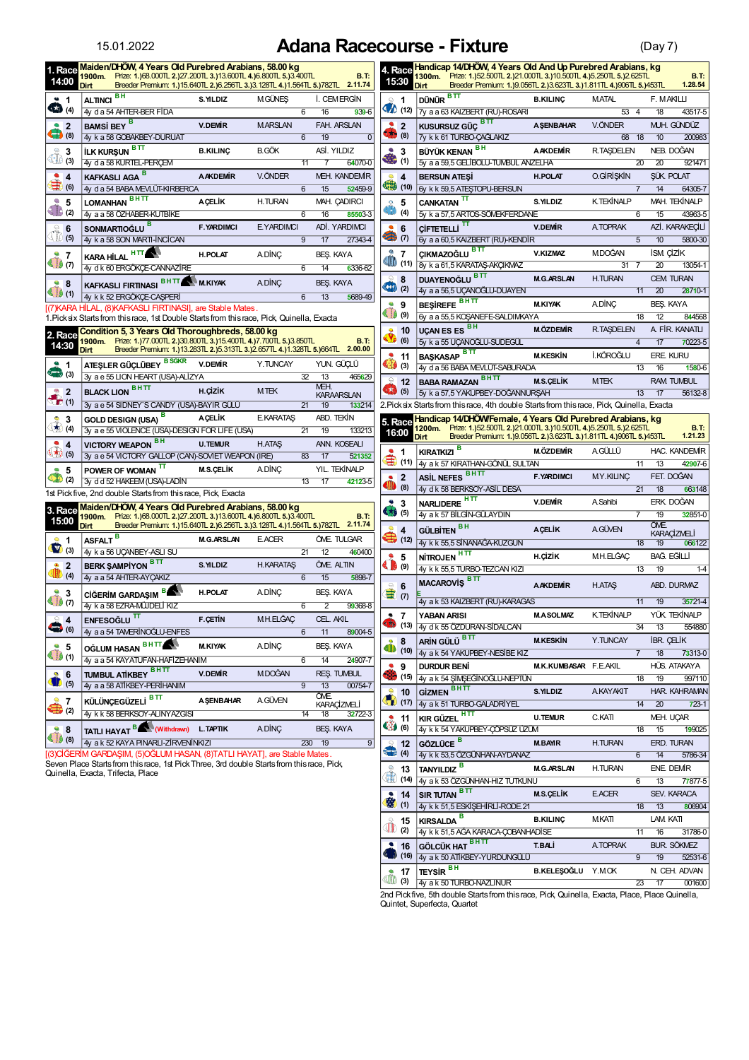## 15.01.2022 **Adana Racecourse - Fixture** (Day 7)

| 1. Race<br>14:00                                                          | Maiden/DHOW, 4 Years Old Purebred Arabians, 58.00 kg<br>1900m. Prize: 1.)68.000TL 2.)27.200TL 3.)13.600TL 4.)6.800TL 5.)3.400TL                           |                   |                   |                                            | <b>B.T:</b>                            | 4. Race<br>15:30                           | Handicap 14/DHOW, 4 Years Old And Up Purebred Arabians, kg<br>1300m. Prize: 1.)52.500TL 2.)21.000TL 3.)10.500TL 4.)5.250TL 5.)2.625TL                  |                       |                              |                 |                  | <b>B.T.</b>                  |
|---------------------------------------------------------------------------|-----------------------------------------------------------------------------------------------------------------------------------------------------------|-------------------|-------------------|--------------------------------------------|----------------------------------------|--------------------------------------------|--------------------------------------------------------------------------------------------------------------------------------------------------------|-----------------------|------------------------------|-----------------|------------------|------------------------------|
|                                                                           | Breeder Premium: 1.)15.640TL 2.)6.256TL 3.)3.128TL 4.)1.564TL 5.)782TL 2.11.74<br>Dirt<br>BН                                                              |                   |                   |                                            |                                        |                                            | Breeder Premium: 1.)9.056TL 2.)3.623TL 3.)1.811TL 4.)906TL 5.)453TL<br><b>Dirt</b><br>вπ                                                               |                       |                              |                 |                  | 1.28.54                      |
| 21<br>ŒÐ<br>(4)                                                           | <b>ALTINCI</b><br>4y d a 54 AHTER-BER FIDA                                                                                                                | S. YILDIZ         | <b>MGÜNES</b>     | 6<br>16                                    | <b><i>I. CEMERGIN</i></b><br>$939 - 6$ | $\cong$ 1                                  | <b>DÜNÜR</b><br>$\bigotimes$ (12) $\big 7y$ a a 63 KAIZBERT (RU)-ROSARI                                                                                | <b>B.KILINC</b>       | <b>MATAL</b><br>$53 \quad 4$ |                 | F. MAKILLI<br>18 | 43517-5                      |
| $2^{\circ}$                                                               | <b>BAMSI BEY</b> B                                                                                                                                        | <b>V.DEMIR</b>    | <b>MARSLAN</b>    |                                            | FAH. ARSLAN                            | 2 <sup>2</sup>                             | <b>KUSURSUZ GÜÇ<sup>BTT</sup></b>                                                                                                                      | <b>A SENBAHAR</b>     | V.ÖNDER                      |                 |                  | MUH. GÜNDÜZ                  |
| $\begin{pmatrix} 1 \\ 0 \end{pmatrix}$ (8)                                | 4y k a 58 GOBAKBEY-DURUAT                                                                                                                                 |                   |                   | 19<br>6                                    | $\mathbf{0}$                           | $\left(8\right)$                           | 7y k k 61 TURBO-CAĞLAKIZ                                                                                                                               |                       | 68 18                        |                 | 10               | 200983                       |
|                                                                           | вπ<br><b>İLK KURSUN</b>                                                                                                                                   | <b>B.KILINC</b>   | <b>B.GÖK</b>      |                                            | ASİ, YILDIZ                            | $\mathcal{A}$<br>3                         | BÜYÜK KENAN BH                                                                                                                                         | <b>AAKDEMIR</b>       | <b>R.TAŞDELEN</b>            |                 |                  | NEB. DOĞAN                   |
| $\bigoplus_{(3)}^{\infty}$ 3                                              | 4y d a 58 KURTEL-PERCEM                                                                                                                                   |                   |                   | 11<br>7                                    | 64070-0                                | 卷(1)                                       | 5y a a 59,5 GELIBOLU-TUMBUL ANZELHA                                                                                                                    |                       |                              | $\overline{20}$ | 20               | 921471                       |
| ۰<br>$\overline{4}$                                                       | KAFKASLI AGA <sup>B</sup>                                                                                                                                 | <b>AAKDEMIR</b>   | V.ÖNDER           |                                            | <b>MEH. KANDEMIR</b>                   | Q<br>$\overline{4}$                        | <b>BERSUN ATESI</b>                                                                                                                                    | <b>H.POLAT</b>        | 0.GİRİŞKİN                   |                 |                  | <b>SÜK. POLAT</b>            |
| $\Rightarrow$ (6)                                                         | 4y d a 54 BABA MEVLUT-KIRBERCA                                                                                                                            |                   |                   | 6<br>15                                    | 52459-9                                | (10)                                       | 6y k k 59,5 ATESTOPU-BERSUN                                                                                                                            |                       |                              |                 | 14               | 64305-7                      |
| e<br>5                                                                    | внπ<br><b>LOMANHAN</b>                                                                                                                                    | <b>ACELIK</b>     | H.TURAN           |                                            | MAH. CADIRCI                           | 5<br>$\bullet$                             | CANKATAN <sup>TT</sup>                                                                                                                                 | S. YILDIZ             | <b>K.TEKİNALP</b>            |                 |                  | MAH. TEKİNALP                |
| $\bigoplus$ (2)                                                           | 4y a a 58 ÖZHABER-KUTBİKE                                                                                                                                 |                   |                   | 6<br>16                                    | 85503-3                                | 3. W<br>(4)                                | 5y k a 57,5 ARTOS-SOMEKFERDANE                                                                                                                         |                       |                              | $\overline{6}$  | 15               | 43963-5                      |
|                                                                           | SONMARTIOĞLU B                                                                                                                                            | <b>F.YARDIMCI</b> | <b>E.YARDIMCI</b> |                                            | ADİ, YARDIMCI                          | $\bullet$ 6                                | π<br><b>CIFTETELLI</b>                                                                                                                                 | <b>V.DEMIR</b>        | A TOPRAK                     |                 |                  | AZİ. KARAKECİLİ              |
| $\begin{array}{c} \sqrt{\begin{array}{c} 0 \\ 0 \end{array}} \end{array}$ | 4y k a 58 SON MARTI-INCICAN                                                                                                                               |                   |                   | ॿ<br>17                                    | 27343-4                                | (7)                                        | 6y a a 60,5 KAIZBERT (RU)-KENDIR                                                                                                                       |                       |                              | $\overline{5}$  | $\overline{10}$  | 5800-30                      |
| ٠<br>-7                                                                   | <b>HTT</b><br><b>KARA HİLAL</b>                                                                                                                           | <b>H.POLAT</b>    | <b>ADINC</b>      |                                            | BEŞ. KAYA                              | ₾<br>$\overline{7}$                        | ÇIKMAZOĞLU <sup>BTT</sup>                                                                                                                              | V.KIZMAZ              | <b>MDOĞAN</b>                |                 | <b>ISM CIZIK</b> |                              |
| $\bigoplus$ $(7)$                                                         | 4y d k 60 ERGÖKCE-CANNAZİRE                                                                                                                               |                   |                   | 6<br>14                                    | 6336-62                                | $\blacksquare$ (11)                        | 8y k a 61,5 KARATAŞ-AKÇIKMAZ                                                                                                                           |                       | 31                           | - 7             | 20               | 13054-1                      |
| 98                                                                        | BHTT MKIYAK                                                                                                                                               |                   | <b>ADINC</b>      |                                            | <b>BEŞ. KAYA</b>                       | 8                                          | DUAYENOĞLU BTT                                                                                                                                         | <b>M.G.ARSLAN</b>     | H.TURAN                      |                 |                  | <b>CEM TURAN</b>             |
| $\bigcirc$ (1)                                                            | <b>KAFKASLI FIRTINASI</b><br>4y k k 52 ERGÖKÇE-CAŞPERİ                                                                                                    |                   |                   | 6<br>13                                    | 5689-49                                | (2)                                        | 4y a a 56,5 UÇANOĞLU-DUAYEN                                                                                                                            |                       |                              | 11              | $\overline{20}$  | 28710-1                      |
|                                                                           | [(7) KARA HİLAL, (8) KAFKASLI FIRTINASI], are Stable Mates.                                                                                               |                   |                   |                                            |                                        | ٠<br>9                                     | <b>BESIREFE</b>                                                                                                                                        | <b>M.KIYAK</b>        | <b>ADINC</b>                 |                 | <b>BES. KAYA</b> |                              |
|                                                                           | 1. Pick six Starts from this race, 1st Double Starts from this race, Pick, Quinella, Exacta                                                               |                   |                   |                                            |                                        | $\bigoplus$ $(9)$                          | 6y a a 55,5 KOŞANEFE-SALDIMKAYA                                                                                                                        |                       |                              | $\overline{18}$ | $\overline{12}$  | 844568                       |
| 2. Race                                                                   | Condition 5, 3 Years Old Thoroughbreds, 58.00 kg                                                                                                          |                   |                   |                                            |                                        | 10                                         | UÇAN ES ES BH                                                                                                                                          | <b>M.ÖZDEMİR</b>      | <b>R.TAŞDELEN</b>            |                 |                  | A FİR. KANATLI               |
| 14:30                                                                     | 1900m. Prize: 1.)77.000TL 2.)30.800TL 3.)15.400TL 4.)7.700TL 5.)3.850TL<br>Breeder Premium: 1.)13.283TL 2.)5.313TL 3.)2.657TL 4.)1.328TL 5.)664TL 2.00.00 |                   |                   |                                            | <b>B.T:</b>                            | 3.<br>(6)                                  | 5y k a 55 UCANOGLU-SUDEGÜL                                                                                                                             |                       |                              | $\overline{4}$  | 17               | 70223-5                      |
|                                                                           | <b>Dirt</b>                                                                                                                                               |                   |                   |                                            |                                        | ٠<br>11                                    | <b>BAŞKASAP</b> BTT                                                                                                                                    | <b>M.KESKİN</b>       | İ.KÖROĞLU                    |                 | ERE. KURU        |                              |
| 21<br>$\left(3\right)$                                                    | ATEŞLER GÜÇLÜBEY BSGKR                                                                                                                                    | <b>V.DEMİR</b>    | Y.TUNCAY          |                                            | YUN. GÜCLÜ                             | $\bigoplus$ (3)                            | 4y d a 56 BABA MEVLÜT-SABURADA                                                                                                                         |                       |                              | $\overline{13}$ | 16               | 1580-6                       |
|                                                                           | 3v a e 55 LION HEART (USA)-ALIZYA<br><b>BHTT</b>                                                                                                          |                   |                   | $\overline{32}$<br>$\overline{13}$<br>MEH. | 465629                                 | $\ominus$<br>12                            | <b>BABA RAMAZAN BHTT</b>                                                                                                                               | <b>M.S.CELIK</b>      | <b>MTEK</b>                  |                 |                  | <b>RAM TUMBUL</b>            |
| 2<br>$\sum_{i=1}^{n}$                                                     | <b>BLACK LION</b>                                                                                                                                         | <b>H.CIZIK</b>    | <b>MTEK</b>       |                                            | <b>KARAARSLAN</b>                      | $\begin{pmatrix} 1 \\ 0 \end{pmatrix}$ (5) | 5y k a 57,5 YAKUPBEY-DOĞANNURSAH                                                                                                                       |                       |                              | 13              | 17               | 56132-8                      |
|                                                                           | 3y a e 54 SIDNEY'S CANDY (USA)-BAYIR GULÜ                                                                                                                 |                   |                   | $\overline{21}$<br>19                      | 133214                                 |                                            | 2. Pick six Starts from this race, 4th double Starts from this race, Pick, Quinella, Exacta                                                            |                       |                              |                 |                  |                              |
|                                                                           |                                                                                                                                                           |                   |                   |                                            |                                        |                                            |                                                                                                                                                        |                       |                              |                 |                  |                              |
| ٠<br>3                                                                    | GOLD DESIGN (USA) <sup>B</sup>                                                                                                                            | <b>ACELIK</b>     | <b>E.KARATAS</b>  |                                            | ABD. TEKİN                             | 5. Race                                    | Handicap 14/DHOW/Female, 4 Years Old Purebred Arabians, kg                                                                                             |                       |                              |                 |                  |                              |
| $\bigoplus$ (4)                                                           | 3y a e 55 VIOLENCE (USA)-DESIGN FOR LIFE (USA)                                                                                                            |                   |                   | 19<br>21                                   | 133213                                 | 16:00                                      | 1200m. Prize: 1.)52.500TL 2.)21.000TL 3.)10.500TL 4.)5.250TL 5.)2.625TL<br>Breeder Premium: 1.)9.056TL 2.)3.623TL 3.)1.811TL 4.)906TL 5.)453TL<br>Dirt |                       |                              |                 |                  | <b>B.T.</b><br>1.21.23       |
| $\bullet$<br>$\overline{4}$                                               | VICTORY WEAPON BH                                                                                                                                         | <b>U.TEMUR</b>    | <b>H.ATAS</b>     |                                            | ANN. KOSEALI                           | ۰                                          |                                                                                                                                                        | <b>M.ÖZDEMİR</b>      | AGÜLLÜ                       |                 |                  | HAC. KANDEMIR                |
| (5)                                                                       | 3y a e 54 VICTORY GALLOP (CAN)-SOVIET WEAPON (IRE)                                                                                                        |                   |                   | 83<br>17                                   | 521352                                 | $\mathbf 1$<br>€<br>(11)                   | <b>KIRATKIZI</b><br>4y a k 57 KIRATHAN-GÖNÜL SULTAN                                                                                                    |                       |                              | $\overline{11}$ | 13               | 42907-6                      |
| $\bullet$<br>5                                                            | POWER OF WOMAN                                                                                                                                            | <b>M.S.CELIK</b>  | ADINC             |                                            | YIL. TEKİNALP                          | $\overline{2}$                             |                                                                                                                                                        | <b>F.YARDIMCI</b>     | MY.KILINÇ                    |                 |                  | FET. DOĞAN                   |
| $\bullet$<br>(2)                                                          | 3y d d 52 HAKEEM (USA)-LADIN                                                                                                                              |                   |                   | $\overline{17}$<br>13                      | 42123-5                                | SIID<br>(8)                                | ASIL NEFES BHTT<br>4y d k 58 BERKSOY-ASIL DESA                                                                                                         |                       |                              | 21              | $\overline{18}$  | 663148                       |
|                                                                           | 1st Pick five, 2nd double Starts from this race, Pick, Exacta                                                                                             |                   |                   |                                            |                                        | ٠<br>3                                     |                                                                                                                                                        | <b>V.DEMIR</b>        | A Sahibi                     |                 |                  | ERK. DOĞAN                   |
| 3. Race                                                                   | Maiden/DHOW, 4 Years Old Purebred Arabians, 58.00 kg<br>1900m. Prize: 1.)68.000TL 2.)27.200TL 3.)13.600TL 4.)6.800TL 5.)3.400TL                           |                   |                   |                                            | <b>B.T:</b>                            | $\bullet$ (5)                              | NARLIDERE <sup>HTT</sup><br>4y a k 57 BİLGİN-GÜLAYDIN                                                                                                  |                       |                              |                 | 19               | 32851-0                      |
| 15:00                                                                     | Breeder Premium: 1.)15.640TL 2.)6.256TL 3.)3.128TL 4.)1.564TL 5.)782TL 2.11.74<br><b>Dirt</b>                                                             |                   |                   |                                            |                                        | Q<br>$\overline{\mathbf{4}}$               |                                                                                                                                                        | <b>ACELIK</b>         | <b>A GÜVEN</b>               |                 | ÖME.             |                              |
| ۰<br>$\blacktriangleleft$                                                 |                                                                                                                                                           | <b>M.G.ARSLAN</b> | <b>E.ACER</b>     |                                            | ÖME. TULGAR                            | $\bigoplus$ (12)                           | GÜLBİTEN <sup>BH</sup><br>4y k k 55,5 SİNANAGA-KUZGUN                                                                                                  |                       |                              | 18              | 19               | <b>KARACIZMELI</b><br>066122 |
| $\blacksquare$ (3)                                                        | ASFALT <sup>B</sup><br>4y k a 56 UCANBEY-ASLI SU                                                                                                          |                   |                   | 21<br>12                                   | 460400                                 | ٠<br>5                                     |                                                                                                                                                        | H.CIZIK               | MH.ELĞAC                     |                 |                  | BAĞ. EĞİLLİ                  |
| ۰<br>$\overline{\mathbf{2}}$                                              | BERK ŞAMPİYON BTT                                                                                                                                         | S. YILDIZ         | <b>H.KARATAS</b>  |                                            | ÖME. ALTIN                             | $\left( \bullet \right)$ (9)               | NITROJEN HTT<br>4y k k 55,5 TURBO-TEZCAN KIZI                                                                                                          |                       |                              | 13              | 19               | $1-4$                        |
| O<br>(4)                                                                  | 4y a a 54 AHTER-AYÇAKIZ                                                                                                                                   |                   |                   | 6<br>15                                    | 5898-7                                 |                                            |                                                                                                                                                        |                       |                              |                 |                  |                              |
| ۵<br>3                                                                    | в,<br><b>CIĞERIM GARDASIM</b>                                                                                                                             | <b>H.POLAT</b>    | <b>ADINC</b>      |                                            | BEŞ. KAYA                              | 6<br>$\sum_{i=1}^{n}$                      | <b>MACAROVIS BTT</b>                                                                                                                                   | <b>AAKDEMIR</b>       | <b>H.ATAS</b>                |                 |                  | ABD. DURMAZ                  |
| $\bigoplus$ (7)                                                           | 4y k a 58 EZRA-MÜUDELİ KIZ                                                                                                                                |                   |                   | 6<br>2                                     | 99368-8                                |                                            | 4y a k 53 KAIZBERT (RU)-KARAGAS                                                                                                                        |                       |                              | 11              | 19               | 35721-4                      |
| 24                                                                        | ENFESOĞLU <sup>TT</sup>                                                                                                                                   | <b>F.CETIN</b>    | MH.ELĞAC          |                                            | CEL. AKIL                              | $\overline{7}$<br>٠                        | YABAN ARISI                                                                                                                                            | <b>M.A.SOLMAZ</b>     | <b>K.TEKİNALP</b>            |                 |                  | YÜK. TEKİNALP                |
| $\left( 6\right)$                                                         | 4y a a 54 TAMERINOGLU-ENFES                                                                                                                               |                   |                   | 6<br>11                                    | 89004-5                                |                                            | (13) 4y d k 55 ÖZDURAN-SIDALCAN                                                                                                                        |                       |                              | 34              | 13               | 554880                       |
| $\stackrel{a}{\equiv}$ 5                                                  |                                                                                                                                                           | <b>M.KIYAK</b>    | <b>ADINÇ</b>      |                                            | BEŞ. KAYA                              | 28                                         | ARIN GÜLÜ BTT                                                                                                                                          | <b>M.KESKİN</b>       | Y.TUNCAY                     |                 |                  | <b>IBR. CELIK</b>            |
| $\bigoplus$ (1)                                                           | OĞLUM HASAN BHTT<br>4y a a 54 KAYATUFAN-HAFİZEHANIM                                                                                                       |                   |                   | 6<br>14                                    | 24907-7                                |                                            | (10) 4y a k 54 YAKUPBEY-NESIBE KIZ                                                                                                                     |                       |                              | $\overline{7}$  | 18               | 73313-0                      |
| 96                                                                        |                                                                                                                                                           | <b>V.DEMİR</b>    | <b>MDOĞAN</b>     |                                            | REŞ. TUMBUL                            | $\bullet$ 9                                | <b>DURDUR BENI</b>                                                                                                                                     | M.K.KUMBASAR F.E.AKIL |                              |                 |                  | HÜS. ATAKAYA                 |
| $\bullet$ (5)                                                             | TUMBUL ATIKBEY BHTT<br>4y a a 58 ATİKBEY-PERİHANIM                                                                                                        |                   |                   | $\overline{9}$<br>$\overline{13}$          | 00754-7                                |                                            | (15) 4y a k 54 ŞİMŞEĞİNOĞLU-NEPTÜN                                                                                                                     |                       |                              | 18              | $\overline{19}$  | 997110                       |
| 27                                                                        |                                                                                                                                                           | <b>A SENBAHAR</b> | <b>AGÜVEN</b>     | ÖME.                                       |                                        |                                            | $\frac{9}{2}$ 10 Gizmen $\frac{BHT}{T}$                                                                                                                | S. YILDIZ             | <b>AKAYAKIT</b>              |                 |                  | HAR. KAHRAMAN                |
| $\bigoplus'_{(2)}$                                                        | külünçegüzeli <sup>bitt</sup><br>4y k k 58 BERKSOY-ALINYAZGISI                                                                                            |                   |                   | $\overline{14}$ 18                         | <b>KARAÇİZMELİ</b><br>32722-3          |                                            | $\bigotimes$ (17) $\bigg  4y$ a k 51 TURBO-GALADRIYEL                                                                                                  |                       |                              |                 | $14$ 20          | $723-1$                      |
|                                                                           |                                                                                                                                                           |                   |                   |                                            |                                        |                                            | <b>11</b> KIR GÜZEL $\overline{HT}$                                                                                                                    | <b>U.TEMUR</b>        | C.KATI                       |                 |                  | MEH. UCAR                    |
| 98<br>(8)                                                                 | TATLI HAYAT BANK (Withdrawn) L. TAPTIK<br>4y a k 52 KAYA PINARLI-ZIRVENINKIZI                                                                             |                   | <b>ADINC</b>      | 230 19                                     | BEŞ. KAYA<br>9                         |                                            | (6) 4y k k 54 YAKUPBEY-ÇOPSUZ UZUM<br>$\frac{1}{2}$ 12 GÖZLÜCE $^{\frac{1}{2}}$                                                                        | <b>M.BAYIR</b>        | H.TURAN                      | $\overline{18}$ | 15               | 199025<br>ERD. TURAN         |

[(3)CİĞERİM GARDAŞIM, (5)OĞLUM HASAN, (8)TATLI HAYAT], are Stable Mates.<br>Seven Place Startsfrom thisrace, 1st Pick Three, 3rd double Startsfrom thisrace, Pick, Quinella, Exacta, Trifecta, Place

| $\subseteq$                                    | 1<br><b>D</b> (12)    | DÜNÜR BTT                                                                                                                                                        | <b>B.KILINC</b>       | <b>MATAL</b>      |                 | F. MAKILLI                           |                             |
|------------------------------------------------|-----------------------|------------------------------------------------------------------------------------------------------------------------------------------------------------------|-----------------------|-------------------|-----------------|--------------------------------------|-----------------------------|
|                                                |                       | 7y a a 63 KAIZBERT (RU)-ROSARI                                                                                                                                   |                       | 53                | 4               | $\overline{18}$                      | 43517-5                     |
| $\bullet$                                      | $\overline{2}$<br>(8) | <b>BT</b><br><b>KUSURSUZ GÜC</b>                                                                                                                                 | <b>ASENBAHAR</b>      | V.ÖNDER           |                 |                                      | MUH. GÜNDÜZ                 |
| $\left( \cdot \right)$                         |                       | 7y k k 61 TURBO-ÇAĞLAKIZ                                                                                                                                         |                       | 68                | 18              | 10                                   | 200983                      |
|                                                | 3                     | BÜYÜK KENAN <sup>BH</sup>                                                                                                                                        | <b>AAKDEMIR</b>       | <b>R.TAŞDELEN</b> |                 |                                      | NEB. DOĞAN                  |
|                                                | (1)                   | 5y a a 59,5 GELIBOLU-TUMBUL ANZELHA                                                                                                                              |                       |                   | 20              | 20                                   | 921471                      |
| $\bullet$<br>43 (10)                           | 4                     | <b>BERSUN ATESI</b>                                                                                                                                              | <b>H.POLAT</b>        | 0.GİRİŞKİN        |                 |                                      | SÜK POLAT                   |
|                                                |                       | 6y k k 59,5 ATESTOPU-BERSUN                                                                                                                                      |                       |                   | 7               | $\overline{14}$                      | 64305-7                     |
| $\ddot{\mathbf{e}}$<br>O                       | 5                     | <b>CANKATAN</b>                                                                                                                                                  | S.YILDIZ              | <b>K.TEKİNALP</b> |                 |                                      | MAH. TEKİNALP               |
|                                                | (4)                   | 5y k a 57,5 ARTOS-SÖMEKFERDANE<br>π                                                                                                                              |                       |                   | 6               | 15                                   | 43963-5                     |
|                                                | 6                     | <b>CIFTETELLI</b>                                                                                                                                                | <b>V.DEMIR</b>        | A TOPRAK          |                 |                                      | AZİ. KARAKECİLİ             |
|                                                | (7)                   | 6y a a 60,5 KAIZBERT (RU)-KENDİR<br>вπ                                                                                                                           |                       |                   | 5               | 10                                   | 5800-30                     |
| ◍<br><b>ID</b>                                 | 7<br>(11)             | ÇIKMAZOĞLU                                                                                                                                                       | <b>V.KIZMAZ</b>       | <b>MDOĞAN</b>     |                 | <b>ISM CIZIK</b>                     |                             |
| $\circ$                                        |                       | 8y k a 61,5 KARATAŞ-AKÇIKMAZ<br>вπ                                                                                                                               |                       | 31                | 7               | 20                                   | 13054-1                     |
| (44)                                           | 8<br>(2)              | <b>DUAYENOĞLU</b><br>4y a a 56,5 UÇANOĞLU-DUAYEN                                                                                                                 | <b>M.G.ARSLAN</b>     | <b>H.TURAN</b>    | 11              | 20                                   | <b>CEM TURAN</b><br>28710-1 |
| $\bullet$                                      |                       | BEŞİREFE BHTT                                                                                                                                                    | <b>M.KIYAK</b>        | <b>ADINC</b>      |                 |                                      |                             |
| $\Phi$ (9)                                     | 9                     | 6y a a 55,5 KOŞANEFE-SALDIMKAYA                                                                                                                                  |                       |                   | $\overline{18}$ | 12                                   | BEŞ. KAYA<br>844568         |
|                                                | 10                    | BН<br><b>UÇAN ES ES</b>                                                                                                                                          | <b>M.ÖZDEMİR</b>      | <b>R.TAŞDELEN</b> |                 |                                      | A FİR. KANATLI              |
| $\ddot{\textbf{v}}$                            | (6)                   | 5y k a 55 UCANOGLU-SUDEGÜL                                                                                                                                       |                       |                   | 4               | $\overline{17}$                      | 70223-5                     |
| $\bullet$                                      | 11                    | вп<br><b>BASKASAP</b>                                                                                                                                            | <b>M.KESKİN</b>       | İ.KÖROĞLU         |                 |                                      | ERE. KURU                   |
| $\bullet$                                      | (3)                   | 4y d a 56 BABA MEVLUT-SABURADA                                                                                                                                   |                       |                   | 13              | 16                                   | 1580-6                      |
| $\ominus$                                      | 12                    | <b>BHTT</b><br><b>BABA RAMAZAN</b>                                                                                                                               | <b>M.S.CELIK</b>      | <b>MTEK</b>       |                 |                                      | <b>RAM TUMBUL</b>           |
| $\mathbf{G}$                                   | (5)                   | 5y k a 57,5 YAKUPBEY-DOĞANNURŞAH                                                                                                                                 |                       |                   | 13              | $\overline{17}$                      | 56132-8                     |
|                                                |                       | 2.Pick six Starts from this race, 4th double Starts from this race, Pick, Quinella, Exacta                                                                       |                       |                   |                 |                                      |                             |
| 5. Race                                        |                       | Handicap 14/DHOW/Female, 4 Years Old Purebred Arabians, kg                                                                                                       |                       |                   |                 |                                      |                             |
| 16:00                                          |                       | Prize: 1.)52.500TL 2.)21.000TL 3.)10.500TL 4.)5.250TL 5.)2.625TL<br>1200m.<br>Breeder Premium: 1.)9.056TL 2.)3.623TL 3.)1.811TL 4.)906TL 5.)453TL<br><b>Dirt</b> |                       |                   |                 |                                      | <b>B.T.</b><br>1.21.23      |
|                                                |                       | в<br><b>KIRATKIZI</b>                                                                                                                                            | <b>M.ÖZDEMİR</b>      | AGÜLLÜ            |                 |                                      | <b>HAC. KANDEMIR</b>        |
|                                                | 1<br>(11)             | 4y a k 57 KIRATHAN-GÖNÜL SULTAN                                                                                                                                  |                       |                   | 11              | 13                                   | 42907-6                     |
|                                                | 2                     | <b>ASIL NEFES BHTT</b>                                                                                                                                           | <b>F.YARDIMCI</b>     | <b>MY.KILINC</b>  |                 |                                      | FET. DOĞAN                  |
| Ò                                              | (8)                   | 4y d k 58 BERKSOY-ASİL DESA                                                                                                                                      |                       |                   | 21              | 18                                   | 663148                      |
|                                                |                       | <b>NARLIDERE</b>                                                                                                                                                 | <b>V.DEMIR</b>        | A Sahibi          |                 |                                      | ERK. DOĞAN                  |
| $\frac{3}{4}$ 3                                |                       | 4y a k 57 BİLGİN-GÜLAYDIN                                                                                                                                        |                       |                   | 7               | 19                                   | 32851-0                     |
|                                                | 4                     | <b>BH</b><br><b>GÜLBİTEN</b>                                                                                                                                     | <b>ACELIK</b>         | <b>A</b> GÜVEN    |                 | ÖME.                                 | <b>KARACIZMELI</b>          |
|                                                | (12)                  | 4y k k 55,5 SİNANAĞA-KUZGUN                                                                                                                                      |                       |                   | $\overline{18}$ | 19                                   | 066122                      |
|                                                | 5                     | ĤП<br><b>NİTROJEN</b>                                                                                                                                            | H.CİZİK               | MH.ELĞAÇ          |                 |                                      | BAĞ. EĞİLLİ                 |
| Ó                                              | (9)                   |                                                                                                                                                                  |                       |                   |                 |                                      |                             |
|                                                |                       | 4y k k 55,5 TURBO-TEZCAN KIZI                                                                                                                                    |                       |                   | 13              | 19                                   | $1 - 4$                     |
|                                                |                       |                                                                                                                                                                  |                       |                   |                 |                                      |                             |
|                                                | 6<br>(7)              | <b>MACAROVIS</b> BTT                                                                                                                                             | <b>AAKDEMIR</b>       | <b>H.ATAS</b>     |                 |                                      | <b>ABD. DURMAZ</b>          |
|                                                |                       | 4y a k 53 KAIZBERT (RU)-KARAGAS                                                                                                                                  |                       |                   | 11              | $\overline{19}$                      | 35721-4                     |
| 做                                              | 7                     | YABAN ARISI                                                                                                                                                      | <b>M.A.SOLMAZ</b>     | <b>K.TEKİNALP</b> | 34              |                                      | YÜK. TEKİNALP               |
| $\bullet$                                      | (13)                  | 4y d k 55 ÖZDURAN-SİDALCAN                                                                                                                                       | <b>M.KESKİN</b>       |                   |                 | 13                                   | 554880                      |
| 41                                             | 8<br>(10)             | ARİN GÜLÜ <sup>BTT</sup>                                                                                                                                         |                       | Y.TUNCAY          |                 | <b>IBR. CELIK</b><br>$\overline{18}$ |                             |
| 29                                             |                       | 4y a k 54 YAKUPBEY-NESİBE KIZ<br><b>DURDUR BENI</b>                                                                                                              | M.K.KUMBASAR F.E.AKIL |                   | 7               |                                      | 73313-0<br>HÜS. ATAKAYA     |
| $\bullet$ (15)                                 |                       | 4y a k 54 ŞİMŞEĞİNOĞLU-NEPTÜN                                                                                                                                    |                       |                   | 18              | 19                                   | 997110                      |
|                                                |                       |                                                                                                                                                                  | S. YILDIZ             | <b>AKAYAKIT</b>   |                 |                                      | <b>HAR. KAHRAMAN</b>        |
| $\bigcirc$ (17)                                | 10                    | <b>GİZMEN BHTT</b><br>4y a k 51 TURBO-GALADRİYEL                                                                                                                 |                       |                   | 14              | $\overline{20}$                      | $723-1$                     |
|                                                | 11                    |                                                                                                                                                                  | <b>U.TEMUR</b>        | C.KATI            |                 |                                      | MEH. UÇAR                   |
| $\bullet$ (6)                                  |                       | KIR GÜZEL <sup>HTT</sup><br>4y k k 54 YAKUPBEY-ÇÖPSÜZ ÜZÜM                                                                                                       |                       |                   | 18              | 15                                   | 199025                      |
| $\circ$                                        | 12                    | GÖZLÜCE <sup>B</sup>                                                                                                                                             | <b>M.BAYIR</b>        | H.TURAN           |                 |                                      | ERD. TURAN                  |
| $\frac{1}{\sqrt{1-\frac{1}{2}}}\left(4\right)$ |                       | 4y k k 53,5 ÖZGÜNHAN-AYDANAZ                                                                                                                                     |                       |                   | 6               | 14                                   | 5786-34                     |
| $\circledcirc$                                 | 13                    | TANYILDIZ <sup>B</sup>                                                                                                                                           | <b>M.G.ARSLAN</b>     | H.TURAN           |                 |                                      | ENE. DEMIR                  |
| 14)                                            |                       | 4y a k 53 ÖZGÜNHAN-HIZ TUTKUNU                                                                                                                                   |                       |                   | 6               | 13                                   | 77877-5                     |
|                                                | 14                    | <b>SIR TUTAN BTT</b>                                                                                                                                             | <b>M.S.CELIK</b>      | E.ACER            |                 |                                      | SEV. KARACA                 |
| Ŵ                                              | (1)                   | 4y k k 51,5 ESKİŞEHİRLİ-RODE.21                                                                                                                                  |                       |                   | 18              | 13                                   | 806904                      |
|                                                | 15                    | KIRSALDA <sup>B</sup>                                                                                                                                            | <b>B.KILINÇ</b>       | MKATI             |                 | LAM KATI                             |                             |
| $\mathbb{R}^{15}_{(2)}$                        |                       | 4y k k 51,5 AGA KARACA-COBANHADISE                                                                                                                               |                       |                   | 11              | 16                                   | 31786-0                     |
|                                                | 16                    | <b>GÖLCÜK HAT BHTT</b>                                                                                                                                           | T.BALİ                | <b>ATOPRAK</b>    |                 |                                      | <b>BUR. SÖKMEZ</b>          |
|                                                | (16)                  | 4y a k 50 ATIKBEY-YURDUNGULÜ                                                                                                                                     |                       |                   | $\overline{9}$  | $\overline{19}$                      | 52531-6                     |
| $\mathbb{D}$ (3)                               | 17                    | TEYSIR <sup>BH</sup><br>4y a k 50 TURBO-NAZLINUR                                                                                                                 | <b>B.KELEŞOĞLU</b>    | Y.MOK             | 23              | 17                                   | N. CEH. ADVAN<br>001600     |

2nd Pickfive, 5th double Startsfrom thisrace, Pick, Quinella, Exacta, Place, Place Quinella, Quintet, Superfecta, Quartet